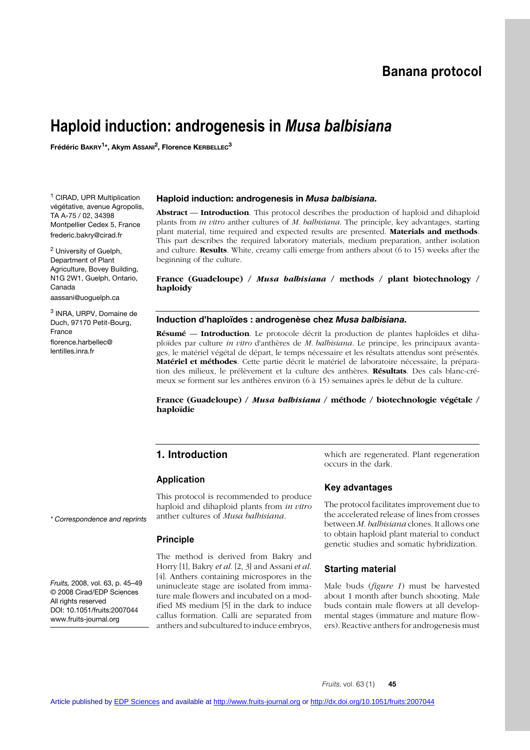# **Banana protocol**

# **Haploid induction: androgenesis in** *Musa balbisiana*

**Frédéric BAKRY1\*, Akym ASSANI2, Florence KERBELLEC3**

<sup>1</sup> CIRAD, UPR Multiplication végétative, avenue Agropolis, TA A-75 / 02, 34398 Montpellier Cedex 5, France frederic.bakry@cirad.fr

<sup>2</sup> University of Guelph, Department of Plant Agriculture, Bovey Building, N1G 2W1, Guelph, Ontario, Canada aassani@uoguelph.ca

<sup>3</sup> INRA, URPV, Domaine de Duch, 97170 Petit-Bourg, France florence.harbellec@ lentilles.inra.fr

#### **Haploid induction: androgenesis in** *Musa balbisiana.*

**Abstract** –– **Introduction**. This protocol describes the production of haploid and dihaploid plants from *in vitro* anther cultures of *M. balbisiana*. The principle, key advantages, starting plant material, time required and expected results are presented. **Materials and methods**. This part describes the required laboratory materials, medium preparation, anther isolation and culture. **Results**. White, creamy calli emerge from anthers about (6 to 15) weeks after the beginning of the culture.

**France (Guadeloupe) /** *Musa balbisiana* **/ methods / plant biotechnology / haploidy**

#### **Induction d'haploïdes : androgenèse chez** *Musa balbisiana.*

**Résumé** –– **Introduction**. Le protocole décrit la production de plantes haploïdes et dihaploïdes par culture *in vitro* d'anthères de *M. balbisiana*. Le principe, les principaux avantages, le matériel végétal de départ, le temps nécessaire et les résultats attendus sont présentés. **Matériel et méthodes**. Cette partie décrit le matériel de laboratoire nécessaire, la préparation des milieux, le prélèvement et la culture des anthères. **Résultats**. Des cals blanc-crémeux se forment sur les anthères environ (6 à 15) semaines après le début de la culture.

**France (Guadeloupe) /** *Musa balbisiana* **/ méthode / biotechnologie végétale / haploïdie**

#### **1. Introduction**

#### **Application**

This protocol is recommended to produce haploid and dihaploid plants from *in vitro* anther cultures of *Musa balbisiana*.

#### **Principle**

The method is derived from Bakry and Horry [1], Bakry *et al.* [2, 3] and Assani *et al.* [4]. Anthers containing microspores in the uninucleate stage are isolated from immature male flowers and incubated on a modified MS medium [5] in the dark to induce callus formation. Calli are separated from anthers and subcultured to induce embryos, which are regenerated. Plant regeneration occurs in the dark.

#### **Key advantages**

The protocol facilitates improvement due to the accelerated release of lines from crosses between *M. balbisiana* clones. It allows one to obtain haploid plant material to conduct genetic studies and somatic hybridization.

#### **Starting material**

Male buds (*figure 1*) must be harvested about 1 month after bunch shooting. Male buds contain male flowers at all developmental stages (immature and mature flowers). Reactive anthers for androgenesis must

#### *\* Correspondence and reprints*

*Fruits,* 2008, vol. 63, p. 45–49 © 2008 Cirad/EDP Sciences All rights reserved DOI: 10.1051/fruits:2007044 www.fruits-journal.org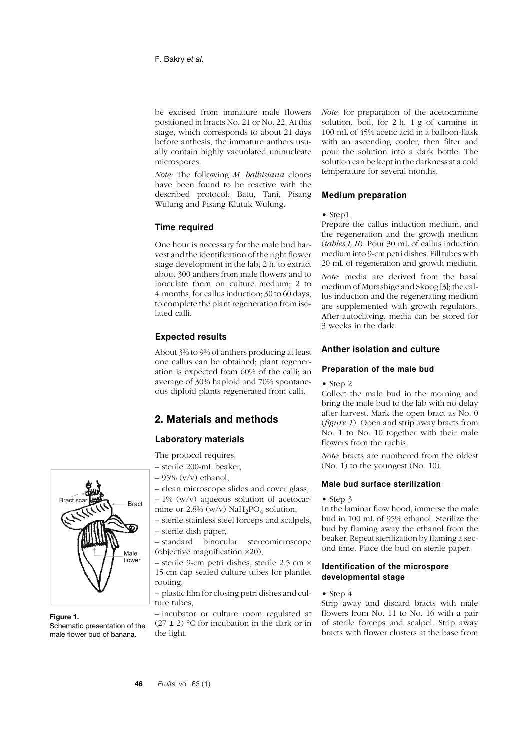be excised from immature male flowers positioned in bracts No. 21 or No. 22. At this stage, which corresponds to about 21 days before anthesis, the immature anthers usually contain highly vacuolated uninucleate microspores.

*Note:* The following *M. balbisiana* clones have been found to be reactive with the described protocol: Batu, Tani, Pisang Wulung and Pisang Klutuk Wulung.

#### **Time required**

One hour is necessary for the male bud harvest and the identification of the right flower stage development in the lab; 2 h, to extract about 300 anthers from male flowers and to inoculate them on culture medium; 2 to 4 months, for callus induction; 30 to 60 days, to complete the plant regeneration from isolated calli.

#### **Expected results**

About 3% to 9% of anthers producing at least one callus can be obtained; plant regeneration is expected from 60% of the calli; an average of 30% haploid and 70% spontaneous diploid plants regenerated from calli.

# **2. Materials and methods**

#### **Laboratory materials**

The protocol requires:

- sterile 200-mL beaker,
- $-95\%$  (y/y) ethanol.
- clean microscope slides and cover glass,
- $-1\%$  (w/v) aqueous solution of acetocarmine or  $2.8\%$  (w/v) NaH<sub>2</sub>PO<sub>4</sub> solution,
- sterile stainless steel forceps and scalpels, – sterile dish paper,
- standard binocular stereomicroscope (objective magnification ×20),

– sterile 9-cm petri dishes, sterile 2.5 cm × 15 cm cap sealed culture tubes for plantlet rooting,

– plastic film for closing petri dishes and culture tubes,

– incubator or culture room regulated at  $(27 \pm 2)$  °C for incubation in the dark or in the light.

*Note:* for preparation of the acetocarmine solution, boil, for 2 h, 1 g of carmine in 100 mL of 45% acetic acid in a balloon-flask with an ascending cooler, then filter and pour the solution into a dark bottle. The solution can be kept in the darkness at a cold temperature for several months.

#### **Medium preparation**

#### • Step1

Prepare the callus induction medium, and the regeneration and the growth medium (*tables I, II*). Pour 30 mL of callus induction medium into 9-cm petri dishes. Fill tubes with 20 mL of regeneration and growth medium.

*Note:* media are derived from the basal medium of Murashige and Skoog [3]; the callus induction and the regenerating medium are supplemented with growth regulators. After autoclaving, media can be stored for 3 weeks in the dark.

# **Anther isolation and culture**

#### **Preparation of the male bud**

#### • Step 2

Collect the male bud in the morning and bring the male bud to the lab with no delay after harvest. Mark the open bract as No. 0 (*figure 1*). Open and strip away bracts from No. 1 to No. 10 together with their male flowers from the rachis.

*Note:* bracts are numbered from the oldest (No. 1) to the youngest (No. 10).

#### **Male bud surface sterilization**

#### • Step 3

In the laminar flow hood, immerse the male bud in 100 mL of 95% ethanol. Sterilize the bud by flaming away the ethanol from the beaker. Repeat sterilization by flaming a second time. Place the bud on sterile paper.

#### **Identification of the microspore developmental stage**

#### • Step 4

Strip away and discard bracts with male flowers from No. 11 to No. 16 with a pair of sterile forceps and scalpel. Strip away bracts with flower clusters at the base from



**Figure 1.**

Schematic presentation of the male flower bud of banana.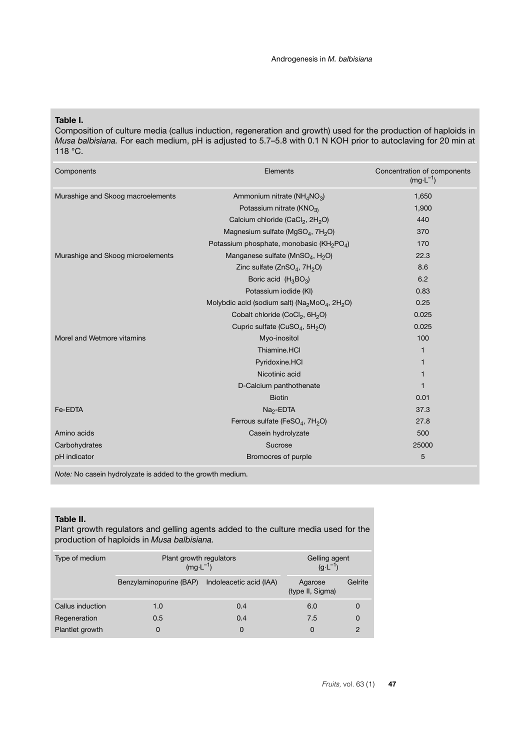**Table I.**

Composition of culture media (callus induction, regeneration and growth) used for the production of haploids in *Musa balbisiana.* For each medium, pH is adjusted to 5.7–5.8 with 0.1 N KOH prior to autoclaving for 20 min at 118 °C.

| Components                        | Elements                                                                           | Concentration of components<br>$(mg \cdot L^{-1})$ |
|-----------------------------------|------------------------------------------------------------------------------------|----------------------------------------------------|
| Murashige and Skoog macroelements | Ammonium nitrate ( $NH_4NO_3$ )                                                    | 1,650                                              |
|                                   | Potassium nitrate (KNO <sub>3)</sub>                                               | 1,900                                              |
|                                   | Calcium chloride (CaCl <sub>2</sub> , 2H <sub>2</sub> O)                           | 440                                                |
|                                   | Magnesium sulfate (MgSO <sub>4</sub> , 7H <sub>2</sub> O)                          | 370                                                |
|                                   | Potassium phosphate, monobasic (KH <sub>2</sub> PO <sub>4</sub> )                  | 170                                                |
| Murashige and Skoog microelements | Manganese sulfate (MnSO <sub>4</sub> , H <sub>2</sub> O)                           | 22.3                                               |
|                                   | Zinc sulfate $(ZnSO4, 7H2O)$                                                       | 8.6                                                |
|                                   | Boric acid $(H_3BO_3)$                                                             | 6.2                                                |
|                                   | Potassium iodide (KI)                                                              | 0.83                                               |
|                                   | Molybdic acid (sodium salt) (Na <sub>2</sub> MoO <sub>4</sub> , 2H <sub>2</sub> O) | 0.25                                               |
|                                   | Cobalt chloride (CoCl <sub>2</sub> , 6H <sub>2</sub> O)                            | 0.025                                              |
|                                   | Cupric sulfate (CuSO <sub>4</sub> , 5H <sub>2</sub> O)                             | 0.025                                              |
| Morel and Wetmore vitamins        | Myo-inositol                                                                       | 100                                                |
|                                   | Thiamine.HCl                                                                       | 1                                                  |
|                                   | Pyridoxine.HCl                                                                     |                                                    |
|                                   | Nicotinic acid                                                                     | 1                                                  |
|                                   | D-Calcium panthothenate                                                            | 1                                                  |
|                                   | <b>Biotin</b>                                                                      | 0.01                                               |
| Fe-EDTA                           | Na <sub>2</sub> -EDTA                                                              | 37.3                                               |
|                                   | Ferrous sulfate (FeSO <sub>4</sub> , 7H <sub>2</sub> O)                            | 27.8                                               |
| Amino acids                       | Casein hydrolyzate                                                                 | 500                                                |
| Carbohydrates                     | Sucrose                                                                            | 25000                                              |
| pH indicator                      | Bromocres of purple                                                                | 5                                                  |

*Note:* No casein hydrolyzate is added to the growth medium.

#### **Table II.**

Plant growth regulators and gelling agents added to the culture media used for the production of haploids in *Musa balbisiana.*

| Type of medium   | Plant growth regulators<br>$(mg \cdot L^{-1})$ |                         | Gelling agent<br>$(g \cdot L^{-1})$ |          |
|------------------|------------------------------------------------|-------------------------|-------------------------------------|----------|
|                  | Benzylaminopurine (BAP)                        | Indoleacetic acid (IAA) | Agarose<br>(type II, Sigma)         | Gelrite  |
| Callus induction | 1.0                                            | 0.4                     | 6.0                                 | 0        |
| Regeneration     | 0.5                                            | 0.4                     | 7.5                                 | $\Omega$ |
| Plantlet growth  | $\Omega$                                       | 0                       | 0                                   | 2        |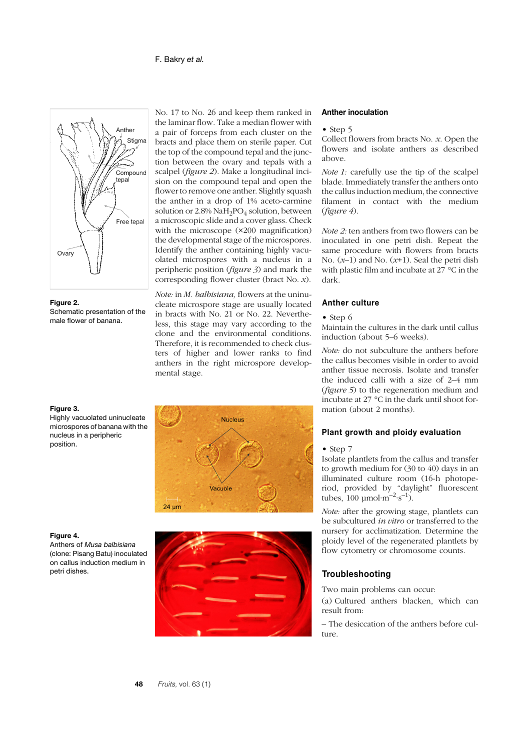



Schematic presentation of the male flower of banana.

#### **Figure 3.**

Highly vacuolated uninucleate microspores of banana with the nucleus in a peripheric position.



Anthers of *Musa balbisiana* (clone: Pisang Batu) inoculated on callus induction medium in petri dishes.

No. 17 to No. 26 and keep them ranked in the laminar flow. Take a median flower with a pair of forceps from each cluster on the bracts and place them on sterile paper. Cut the top of the compound tepal and the junction between the ovary and tepals with a scalpel (*figure 2*). Make a longitudinal incision on the compound tepal and open the flower to remove one anther. Slightly squash the anther in a drop of 1% aceto-carmine solution or  $2.8\%$  NaH<sub>2</sub>PO<sub>4</sub> solution, between a microscopic slide and a cover glass. Check with the microscope (×200 magnification) the developmental stage of the microspores. Identify the anther containing highly vacuolated microspores with a nucleus in a peripheric position (*figure 3*) and mark the corresponding flower cluster (bract No. *x*).

*Note:* in *M. balbisiana,* flowers at the uninucleate microspore stage are usually located in bracts with No. 21 or No. 22. Nevertheless, this stage may vary according to the clone and the environmental conditions. Therefore, it is recommended to check clusters of higher and lower ranks to find anthers in the right microspore developmental stage.





#### **Anther inoculation**

• Step 5

Collect flowers from bracts No. *x*. Open the flowers and isolate anthers as described above.

*Note 1:* carefully use the tip of the scalpel blade. Immediately transfer the anthers onto the callus induction medium, the connective filament in contact with the medium (*figure 4*).

*Note 2:* ten anthers from two flowers can be inoculated in one petri dish. Repeat the same procedure with flowers from bracts No. (*x*–1) and No. (*x*+1). Seal the petri dish with plastic film and incubate at 27 °C in the dark.

#### **Anther culture**

#### • Step 6

Maintain the cultures in the dark until callus induction (about 5–6 weeks).

*Note:* do not subculture the anthers before the callus becomes visible in order to avoid anther tissue necrosis. Isolate and transfer the induced calli with a size of 2–4 mm (*figure 5*) to the regeneration medium and incubate at 27 °C in the dark until shoot formation (about 2 months).

#### **Plant growth and ploidy evaluation**

#### • Step 7

Isolate plantlets from the callus and transfer to growth medium for (30 to 40) days in an illuminated culture room (16-h photoperiod, provided by "daylight" fluorescent tubes,  $100 \mu \text{mol·m}^{-2} \text{·s}^{-1}$ ).

*Note:* after the growing stage, plantlets can be subcultured *in vitro* or transferred to the nursery for acclimatization. Determine the ploidy level of the regenerated plantlets by flow cytometry or chromosome counts*.*

#### **Troubleshooting**

Two main problems can occur:

(a) Cultured anthers blacken, which can result from:

– The desiccation of the anthers before culture.